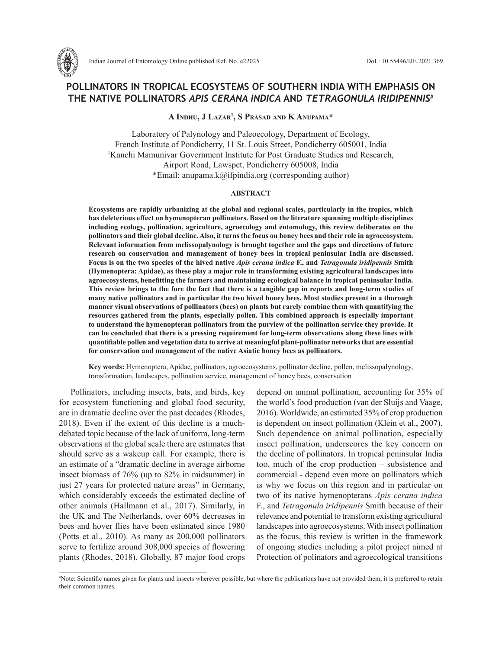

# **POLLINATORS IN TROPICAL ECOSYSTEMS OF SOUTHERN INDIA WITH EMPHASIS ON THE NATIVE POLLINATORS** *APIS CERANA INDICA* **AND** *TETRAGONULA IRIDIPENNIS***#**

**A Indhu, J Lazar1 , S Prasad and K Anupama\***

Laboratory of Palynology and Paleoecology, Department of Ecology, French Institute of Pondicherry, 11 St. Louis Street, Pondicherry 605001, India 1 Kanchi Mamunivar Government Institute for Post Graduate Studies and Research, Airport Road, Lawspet, Pondicherry 605008, India \*Email: anupama.k@ifpindia.org (corresponding author)

#### **ABSTRACT**

**Ecosystems are rapidly urbanizing at the global and regional scales, particularly in the tropics, which has deleterious effect on hymenopteran pollinators. Based on the literature spanning multiple disciplines including ecology, pollination, agriculture, agroecology and entomology, this review deliberates on the pollinators and their global decline. Also, it turns the focus on honey bees and their role in agroecosystem. Relevant information from melissopalynology is brought together and the gaps and directions of future research on conservation and management of honey bees in tropical peninsular India are discussed. Focus is on the two species of the hived native** *Apis cerana indica* **F., and** *Tetragonula iridipennis* **Smith (Hymenoptera: Apidae), as these play a major role in transforming existing agricultural landscapes into agroecosystems, benefitting the farmers and maintaining ecological balance in tropical peninsular India. This review brings to the fore the fact that there is a tangible gap in reports and long-term studies of many native pollinators and in particular the two hived honey bees. Most studies present in a thorough manner visual observations of pollinators (bees) on plants but rarely combine them with quantifying the resources gathered from the plants, especially pollen. This combined approach is especially important to understand the hymenopteran pollinators from the purview of the pollination service they provide. It can be concluded that there is a pressing requirement for long-term observations along these lines with quantifiable pollen and vegetation data to arrive at meaningful plant-pollinator networks that are essential for conservation and management of the native Asiatic honey bees as pollinators.**

**Key words:** Hymenoptera, Apidae, pollinators, agroecosystems, pollinator decline, pollen, melissopalynology, transformation, landscapes, pollination service, management of honey bees, conservation

Pollinators, including insects, bats, and birds, key for ecosystem functioning and global food security, are in dramatic decline over the past decades (Rhodes, 2018). Even if the extent of this decline is a muchdebated topic because of the lack of uniform, long-term observations at the global scale there are estimates that should serve as a wakeup call. For example, there is an estimate of a "dramatic decline in average airborne insect biomass of 76% (up to 82% in midsummer) in just 27 years for protected nature areas" in Germany, which considerably exceeds the estimated decline of other animals (Hallmann et al., 2017). Similarly, in the UK and The Netherlands, over 60% decreases in bees and hover flies have been estimated since 1980 (Potts et al., 2010). As many as 200,000 pollinators serve to fertilize around 308,000 species of flowering plants (Rhodes, 2018). Globally, 87 major food crops depend on animal pollination, accounting for 35% of the world's food production (van der Sluijs and Vaage, 2016). Worldwide, an estimated 35% of crop production is dependent on insect pollination (Klein et al., 2007). Such dependence on animal pollination, especially insect pollination, underscores the key concern on the decline of pollinators. In tropical peninsular India too, much of the crop production – subsistence and commercial - depend even more on pollinators which is why we focus on this region and in particular on two of its native hymenopterans *Apis cerana indica*  F., and *Tetragonula iridipennis* Smith because of their relevance and potential to transform existing agricultural landscapes into agroecosystems. With insect pollination as the focus, this review is written in the framework of ongoing studies including a pilot project aimed at Protection of polinators and agroecological transitions

<sup>#</sup> Note: Scientific names given for plants and insects wherever possible, but where the publications have not provided them, it is preferred to retain their common names.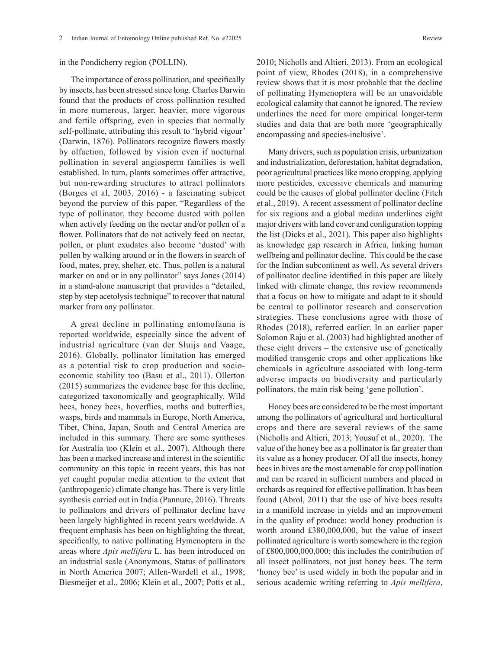#### in the Pondicherry region (POLLIN).

The importance of cross pollination, and specifically by insects, has been stressed since long. Charles Darwin found that the products of cross pollination resulted in more numerous, larger, heavier, more vigorous and fertile offspring, even in species that normally self-pollinate, attributing this result to 'hybrid vigour' (Darwin, 1876). Pollinators recognize flowers mostly by olfaction, followed by vision even if nocturnal pollination in several angiosperm families is well established. In turn, plants sometimes offer attractive, but non-rewarding structures to attract pollinators (Borges et al, 2003, 2016) - a fascinating subject beyond the purview of this paper. "Regardless of the type of pollinator, they become dusted with pollen when actively feeding on the nectar and/or pollen of a flower. Pollinators that do not actively feed on nectar, pollen, or plant exudates also become 'dusted' with pollen by walking around or in the flowers in search of food, mates, prey, shelter, etc. Thus, pollen is a natural marker on and or in any pollinator" says Jones (2014) in a stand-alone manuscript that provides a "detailed, step by step acetolysis technique" to recover that natural marker from any pollinator.

A great decline in pollinating entomofauna is reported worldwide, especially since the advent of industrial agriculture (van der Sluijs and Vaage, 2016). Globally, pollinator limitation has emerged as a potential risk to crop production and socioeconomic stability too (Basu et al., 2011). Ollerton (2015) summarizes the evidence base for this decline, categorized taxonomically and geographically. Wild bees, honey bees, hoverflies, moths and butterflies, wasps, birds and mammals in Europe, North America, Tibet, China, Japan, South and Central America are included in this summary. There are some syntheses for Australia too (Klein et al., 2007). Although there has been a marked increase and interest in the scientific community on this topic in recent years, this has not yet caught popular media attention to the extent that (anthropogenic) climate change has. There is very little synthesis carried out in India (Pannure, 2016). Threats to pollinators and drivers of pollinator decline have been largely highlighted in recent years worldwide. A frequent emphasis has been on highlighting the threat, specifically, to native pollinating Hymenoptera in the areas where *Apis mellifera* L. has been introduced on an industrial scale (Anonymous, Status of pollinators in North America 2007; Allen-Wardell et al., 1998; Biesmeijer et al., 2006; Klein et al., 2007; Potts et al., 2010; Nicholls and Altieri, 2013). From an ecological point of view, Rhodes (2018), in a comprehensive review shows that it is most probable that the decline of pollinating Hymenoptera will be an unavoidable ecological calamity that cannot be ignored. The review underlines the need for more empirical longer-term studies and data that are both more 'geographically encompassing and species-inclusive'.

Many drivers, such as population crisis, urbanization and industrialization, deforestation, habitat degradation, poor agricultural practices like mono cropping, applying more pesticides, excessive chemicals and manuring could be the causes of global pollinator decline (Fitch et al., 2019). A recent assessment of pollinator decline for six regions and a global median underlines eight major drivers with land cover and configuration topping the list (Dicks et al., 2021). This paper also highlights as knowledge gap research in Africa, linking human wellbeing and pollinator decline. This could be the case for the Indian subcontinent as well. As several drivers of pollinator decline identified in this paper are likely linked with climate change, this review recommends that a focus on how to mitigate and adapt to it should be central to pollinator research and conservation strategies. These conclusions agree with those of Rhodes (2018), referred earlier. In an earlier paper Solomon Raju et al. (2003) had highlighted another of these eight drivers – the extensive use of genetically modified transgenic crops and other applications like chemicals in agriculture associated with long-term adverse impacts on biodiversity and particularly pollinators, the main risk being 'gene pollution'.

Honey bees are considered to be the most important among the pollinators of agricultural and horticultural crops and there are several reviews of the same (Nicholls and Altieri, 2013; Yousuf et al., 2020). The value of the honey bee as a pollinator is far greater than its value as a honey producer. Of all the insects, honey bees in hives are the most amenable for crop pollination and can be reared in sufficient numbers and placed in orchards as required for effective pollination. It has been found (Abrol, 2011) that the use of hive bees results in a manifold increase in yields and an improvement in the quality of produce: world honey production is worth around £380,000,000, but the value of insect pollinated agriculture is worth somewhere in the region of £800,000,000,000; this includes the contribution of all insect pollinators, not just honey bees. The term 'honey bee' is used widely in both the popular and in serious academic writing referring to *Apis mellifera*,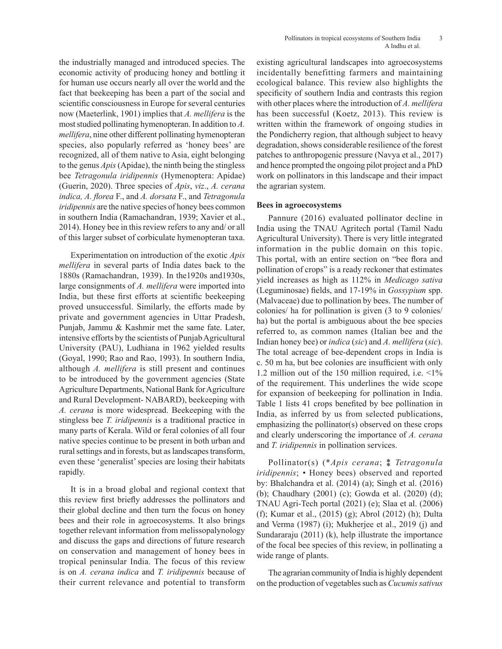the industrially managed and introduced species. The economic activity of producing honey and bottling it for human use occurs nearly all over the world and the fact that beekeeping has been a part of the social and scientific consciousness in Europe for several centuries now (Maeterlink, 1901) implies that *A. mellifera* is the most studied pollinating hymenopteran. In addition to *A. mellifera*, nine other different pollinating hymenopteran species, also popularly referred as 'honey bees' are recognized, all of them native to Asia, eight belonging to the genus *Apis* (Apidae), the ninth being the stingless bee *Tetragonula iridipennis* (Hymenoptera: Apidae) (Guerin, 2020). Three species of *Apis*, *viz*., *A. cerana indica, A. florea* F., and *A. dorsata* F., and *Tetragonula iridipennis* are the native species of honey bees common in southern India (Ramachandran, 1939; Xavier et al., 2014). Honey bee in this review refers to any and/ or all of this larger subset of corbiculate hymenopteran taxa.

Experimentation on introduction of the exotic *Apis mellifera* in several parts of India dates back to the 1880s (Ramachandran, 1939). In the1920s and1930s, large consignments of *A. mellifera* were imported into India, but these first efforts at scientific beekeeping proved unsuccessful. Similarly, the efforts made by private and government agencies in Uttar Pradesh, Punjab, Jammu & Kashmir met the same fate. Later, intensive efforts by the scientists of Punjab Agricultural University (PAU), Ludhiana in 1962 yielded results (Goyal, 1990; Rao and Rao, 1993). In southern India, although *A. mellifera* is still present and continues to be introduced by the government agencies (State Agriculture Departments, National Bank for Agriculture and Rural Development- NABARD), beekeeping with *A. cerana* is more widespread. Beekeeping with the stingless bee *T. iridipennis* is a traditional practice in many parts of Kerala. Wild or feral colonies of all four native species continue to be present in both urban and rural settings and in forests, but as landscapes transform, even these 'generalist' species are losing their habitats rapidly.

It is in a broad global and regional context that this review first briefly addresses the pollinators and their global decline and then turn the focus on honey bees and their role in agroecosystems. It also brings together relevant information from melissopalynology and discuss the gaps and directions of future research on conservation and management of honey bees in tropical peninsular India. The focus of this review is on *A. cerana indica* and *T. iridipennis* because of their current relevance and potential to transform existing agricultural landscapes into agroecosystems incidentally benefitting farmers and maintaining ecological balance. This review also highlights the specificity of southern India and contrasts this region with other places where the introduction of *A. mellifera* has been successful (Koetz, 2013). This review is written within the framework of ongoing studies in the Pondicherry region, that although subject to heavy degradation, shows considerable resilience of the forest patches to anthropogenic pressure (Navya et al., 2017) and hence prompted the ongoing pilot project and a PhD work on pollinators in this landscape and their impact the agrarian system.

## **Bees in agroecosystems**

Pannure (2016) evaluated pollinator decline in India using the TNAU Agritech portal (Tamil Nadu Agricultural University). There is very little integrated information in the public domain on this topic. This portal, with an entire section on "bee flora and pollination of crops" is a ready reckoner that estimates yield increases as high as 112% in *Medicago sativa* (Leguminosae) fields, and 17-19% in *Gossypium* spp. (Malvaceae) due to pollination by bees. The number of colonies/ ha for pollination is given (3 to 9 colonies/ ha) but the portal is ambiguous about the bee species referred to, as common names (Italian bee and the Indian honey bee) or *indica* (*sic*) and *A. mellifera* (*sic*). The total acreage of bee-dependent crops in India is c. 50 m ha, but bee colonies are insufficient with only 1.2 million out of the 150 million required, i.e. <1% of the requirement. This underlines the wide scope for expansion of beekeeping for pollination in India. Table 1 lists 41 crops benefited by bee pollination in India, as inferred by us from selected publications, emphasizing the pollinator(s) observed on these crops and clearly underscoring the importance of *A. cerana* and *T. iridipennis* in pollination services.

Pollinator(s) (\**Apis cerana*; ⁑ *Tetragonula iridipennis*; *•* Honey bees) observed and reported by: Bhalchandra et al. (2014) (a); Singh et al. (2016) (b); Chaudhary (2001) (c); Gowda et al. (2020) (d); TNAU Agri-Tech portal (2021) (e); Slaa et al. (2006) (f); Kumar et al., (2015) (g); Abrol (2012) (h); Dulta and Verma (1987) (i); Mukherjee et al., 2019 (j) and Sundararaju (2011) (k), help illustrate the importance of the focal bee species of this review, in pollinating a wide range of plants.

The agrarian community of India is highly dependent on the production of vegetables such as *Cucumis sativus*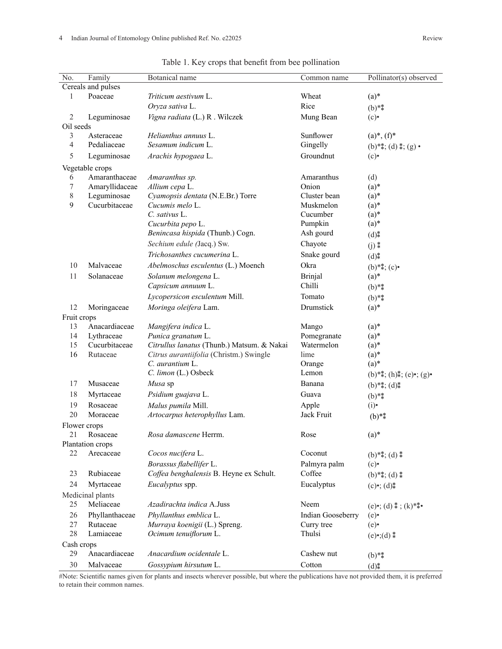| N <sub>o</sub> . | Family             | Botanical name                             | Common name       | Pollinator(s) observed                  |
|------------------|--------------------|--------------------------------------------|-------------------|-----------------------------------------|
|                  | Cereals and pulses |                                            |                   |                                         |
| 1                | Poaceae            | Triticum aestivum L.                       | Wheat             | $(a)*$                                  |
|                  |                    | Oryza sativa L.                            | Rice              | $(b)$ **                                |
| $\sqrt{2}$       | Leguminosae        | Vigna radiata (L.) R. Wilczek              | Mung Bean         | (c)                                     |
| Oil seeds        |                    |                                            |                   |                                         |
| 3                | Asteraceae         | Helianthus annuus L.                       | Sunflower         | $(a)$ <sup>*</sup> , $(f)$ <sup>*</sup> |
| $\overline{4}$   | Pedaliaceae        | Sesamum indicum L.                         | Gingelly          | (b)**; (d) *; (g) •                     |
| 5                | Leguminosae        | Arachis hypogaea L.                        | Groundnut         | (c)                                     |
| Vegetable crops  |                    |                                            |                   |                                         |
| 6                | Amaranthaceae      | Amaranthus sp.                             | Amaranthus        | (d)                                     |
| 7                | Amaryllidaceae     | Allium cepa L.                             | Onion             | $(a)*$                                  |
| 8                | Leguminosae        | Cyamopsis dentata (N.E.Br.) Torre          | Cluster bean      | $(a)*$                                  |
| 9                | Cucurbitaceae      | Cucumis melo L.                            | Muskmelon         | $(a)*$                                  |
|                  |                    | $C.$ sativus $L.$                          | Cucumber          | $(a)*$                                  |
|                  |                    | Cucurbita pepo L.                          | Pumpkin           | $(a)*$                                  |
|                  |                    | Benincasa hispida (Thunb.) Cogn.           | Ash gourd         | $(d)$ $*$                               |
|                  |                    | Sechium edule (Jacq.) Sw.                  | Chayote           | $(j)$ $*$                               |
|                  |                    | Trichosanthes cucumerina L.                | Snake gourd       | $(d)_{*}^{*}$                           |
| 10               | Malvaceae          | Abelmoschus esculentus (L.) Moench         | Okra              | $(b)**; (c)*$                           |
| 11               | Solanaceae         | Solanum melongena L.                       | Brinjal           | $(a)*$                                  |
|                  |                    | Capsicum annuum L.                         | Chilli            | $(b)$ **                                |
|                  |                    | Lycopersicon esculentum Mill.              | Tomato            | $(b)$ **                                |
| 12               | Moringaceae        | Moringa oleifera Lam.                      | Drumstick         | $(a)*$                                  |
| Fruit crops      |                    |                                            |                   |                                         |
| 13               | Anacardiaceae      | Mangifera indica L.                        | Mango             | $(a)*$                                  |
| 14               | Lythraceae         | Punica granatum L.                         | Pomegranate       | $(a)*$                                  |
| 15               | Cucurbitaceae      | Citrullus lanatus (Thunb.) Matsum. & Nakai | Watermelon        | $(a)*$                                  |
| 16               | Rutaceae           | Citrus aurantiifolia (Christm.) Swingle    | lime              | $(a)*$                                  |
|                  |                    | C. aurantium L.                            | Orange            | $(a)*$                                  |
|                  |                    | C. limon (L.) Osbeck                       | Lemon             | $(b)*; (h)*; (e)*; (g)*$                |
| 17               | Musaceae           | Musa sp                                    | Banana            | $(b)**; (d)*$                           |
| 18               | Myrtaceae          | Psidium guajava L.                         | Guava             | $(b)$ **                                |
| 19               | Rosaceae           | Malus pumila Mill.                         | Apple             | (i)                                     |
| 20               | Moraceae           | Artocarpus heterophyllus Lam.              | Jack Fruit        | $(b)$ **                                |
| Flower crops     |                    |                                            |                   |                                         |
| 21               | Rosaceae           | Rosa damascene Herrm.                      | Rose              | $(a)*$                                  |
|                  | Plantation crops   |                                            |                   |                                         |
| 22               | Arecaceae          | Cocos nucifera L.                          | Coconut           | $(b)**; (d)**$                          |
|                  |                    | Borassus flabellifer L.                    | Palmyra palm      | (c)                                     |
| 23               | Rubiaceae          | Coffea benghalensis B. Heyne ex Schult.    | Coffee            | $(b)**; (d)**$                          |
| 24               | Myrtaceae          | Eucalyptus spp.                            | Eucalyptus        | $(c)$ •; $(d)$ ‡                        |
|                  | Medicinal plants   |                                            |                   |                                         |
| 25               | Meliaceae          | Azadirachta indica A.Juss                  | Neem              | (e)•; (d) $*$ ; (k)**•                  |
| 26               | Phyllanthaceae     | Phyllanthus emblica L.                     | Indian Gooseberry | (e)                                     |
| 27               | Rutaceae           | Murraya koenigii (L.) Spreng.              | Curry tree        | (e)                                     |
| 28               | Lamiaceae          | Ocimum tenuiflorum L.                      | Thulsi            | $(e) \cdot (d) *$                       |
| Cash crops       |                    |                                            |                   |                                         |
| 29               | Anacardiaceae      | Anacardium ocidentale L.                   | Cashew nut        | $(b)$ **                                |
| 30               | Malvaceae          | Gossypium hirsutum L.                      | Cotton            | $(d)$ $*$                               |

Table 1. Key crops that benefit from bee pollination

#Note: Scientific names given for plants and insects wherever possible, but where the publications have not provided them, it is preferred to retain their common names.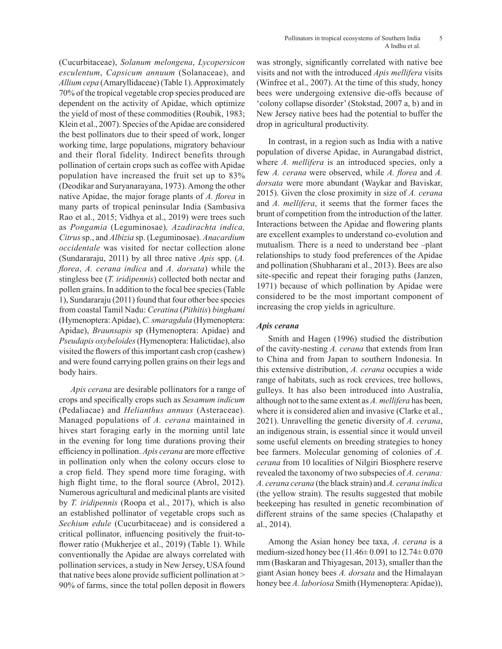(Cucurbitaceae), *Solanum melongena*, *Lycopersicon esculentum*, *Capsicum annuum* (Solanaceae), and *Allium cepa* (Amaryllidaceae) (Table 1). Approximately 70% of the tropical vegetable crop species produced are dependent on the activity of Apidae, which optimize the yield of most of these commodities (Roubik, 1983; Klein et al., 2007). Species of the Apidae are considered the best pollinators due to their speed of work, longer working time, large populations, migratory behaviour and their floral fidelity. Indirect benefits through pollination of certain crops such as coffee with Apidae population have increased the fruit set up to 83% (Deodikar and Suryanarayana, 1973). Among the other native Apidae, the major forage plants of *A. florea* in many parts of tropical peninsular India (Sambasiva Rao et al., 2015; Vidhya et al., 2019) were trees such as *Pongamia* (Leguminosae)*, Azadirachta indica, Citrus* sp., and *Albizia* sp. (Leguminosae). *Anacardium occidentale* was visited for nectar collection alone (Sundararaju, 2011) by all three native *Apis* spp. (*A. florea*, *A. cerana indica* and *A. dorsata*) while the stingless bee (*T. iridipennis*) collected both nectar and pollen grains. In addition to the focal bee species (Table 1), Sundararaju (2011) found that four other bee species from coastal Tamil Nadu: *Ceratina* (*Pithitis*) *binghami* (Hymenoptera: Apidae), *C. smaragdula* (Hymenoptera: Apidae), *Braunsapis* sp (Hymenoptera: Apidae) and *Pseudapis oxybeloides* (Hymenoptera: Halictidae), also visited the flowers of this important cash crop (cashew) and were found carrying pollen grains on their legs and body hairs.

*Apis cerana* are desirable pollinators for a range of crops and specifically crops such as *Sesamum indicum*  (Pedaliacae) and *Helianthus annuus* (Asteraceae). Managed populations of *A. cerana* maintained in hives start foraging early in the morning until late in the evening for long time durations proving their efficiency in pollination. *Apis cerana* are more effective in pollination only when the colony occurs close to a crop field. They spend more time foraging, with high flight time, to the floral source (Abrol, 2012). Numerous agricultural and medicinal plants are visited by *T. iridipennis* (Roopa et al., 2017), which is also an established pollinator of vegetable crops such as *Sechium edule* (Cucurbitaceae) and is considered a critical pollinator, influencing positively the fruit-toflower ratio (Mukherjee et al., 2019) (Table 1). While conventionally the Apidae are always correlated with pollination services, a study in New Jersey, USA found that native bees alone provide sufficient pollination at > 90% of farms, since the total pollen deposit in flowers

was strongly, significantly correlated with native bee visits and not with the introduced *Apis mellifera* visits (Winfree et al., 2007). At the time of this study, honey bees were undergoing extensive die-offs because of 'colony collapse disorder' (Stokstad, 2007 a, b) and in New Jersey native bees had the potential to buffer the drop in agricultural productivity.

In contrast, in a region such as India with a native population of diverse Apidae, in Aurangabad district, where *A. mellifera* is an introduced species, only a few *A. cerana* were observed, while *A. florea* and *A. dorsata* were more abundant (Waykar and Baviskar, 2015). Given the close proximity in size of *A. cerana* and *A. mellifera*, it seems that the former faces the brunt of competition from the introduction of the latter. Interactions between the Apidae and flowering plants are excellent examples to understand co-evolution and mutualism. There is a need to understand bee -plant relationships to study food preferences of the Apidae and pollination (Shubharani et al., 2013). Bees are also site-specific and repeat their foraging paths (Janzen, 1971) because of which pollination by Apidae were considered to be the most important component of increasing the crop yields in agriculture.

## *Apis cerana*

Smith and Hagen (1996) studied the distribution of the cavity-nesting *A. cerana* that extends from Iran to China and from Japan to southern Indonesia. In this extensive distribution, *A. cerana* occupies a wide range of habitats, such as rock crevices, tree hollows, gulleys. It has also been introduced into Australia, although not to the same extent as *A. mellifera* has been, where it is considered alien and invasive (Clarke et al., 2021). Unravelling the genetic diversity of *A. cerana*, an indigenous strain, is essential since it would unveil some useful elements on breeding strategies to honey bee farmers. Molecular genoming of colonies of *A. cerana* from 10 localities of Nilgiri Biosphere reserve revealed the taxonomy of two subspecies of *A. cerana: A. cerana cerana* (the black strain) and *A. cerana indica* (the yellow strain). The results suggested that mobile beekeeping has resulted in genetic recombination of different strains of the same species (Chalapathy et al., 2014).

Among the Asian honey bee taxa, *A. cerana* is a medium-sized honey bee (11.46 $\pm$  0.091 to 12.74 $\pm$  0.070 mm (Baskaran and Thiyagesan, 2013), smaller than the giant Asian honey bees *A. dorsata* and the Himalayan honey bee *A. laboriosa* Smith (Hymenoptera: Apidae)),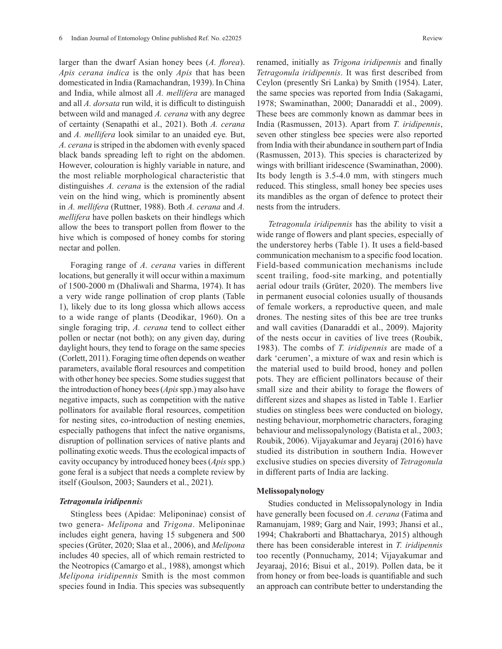larger than the dwarf Asian honey bees (*A. florea*). *Apis cerana indica* is the only *Apis* that has been domesticated in India (Ramachandran, 1939). In China and India, while almost all *A. mellifera* are managed and all *A. dorsata* run wild, it is difficult to distinguish between wild and managed *A. cerana* with any degree of certainty (Senapathi et al., 2021). Both *A. cerana*  and *A. mellifera* look similar to an unaided eye*.* But, *A. cerana* is striped in the abdomen with evenly spaced black bands spreading left to right on the abdomen. However, colouration is highly variable in nature, and the most reliable morphological characteristic that distinguishes *A. cerana* is the extension of the radial vein on the hind wing, which is prominently absent in *A. mellifera* (Ruttner, 1988). Both *A. cerana* and *A. mellifera* have pollen baskets on their hindlegs which allow the bees to transport pollen from flower to the hive which is composed of honey combs for storing nectar and pollen.

Foraging range of *A. cerana* varies in different locations, but generally it will occur within a maximum of 1500-2000 m (Dhaliwali and Sharma, 1974). It has a very wide range pollination of crop plants (Table 1), likely due to its long glossa which allows access to a wide range of plants (Deodikar, 1960). On a single foraging trip, *A. cerana* tend to collect either pollen or nectar (not both); on any given day, during daylight hours, they tend to forage on the same species (Corlett, 2011). Foraging time often depends on weather parameters, available floral resources and competition with other honey bee species. Some studies suggest that the introduction of honey bees (*Apis* spp.) may also have negative impacts, such as competition with the native pollinators for available floral resources, competition for nesting sites, co-introduction of nesting enemies, especially pathogens that infect the native organisms, disruption of pollination services of native plants and pollinating exotic weeds. Thus the ecological impacts of cavity occupancy by introduced honey bees (*Apis* spp.) gone feral is a subject that needs a complete review by itself (Goulson, 2003; Saunders et al., 2021).

#### *Tetragonula iridipennis*

Stingless bees (Apidae: Meliponinae) consist of two genera- *Melipona* and *Trigona*. Meliponinae includes eight genera, having 15 subgenera and 500 species (Grüter, 2020; Slaa et al., 2006), and *Melipona*  includes 40 species, all of which remain restricted to the Neotropics (Camargo et al., 1988), amongst which *Melipona iridipennis* Smith is the most common species found in India. This species was subsequently

renamed, initially as *Trigona iridipennis* and finally *Tetragonula iridipennis*. It was first described from Ceylon (presently Sri Lanka) by Smith (1954). Later, the same species was reported from India (Sakagami, 1978; Swaminathan, 2000; Danaraddi et al., 2009). These bees are commonly known as dammar bees in India (Rasmussen, 2013). Apart from *T. iridipennis*, seven other stingless bee species were also reported from India with their abundance in southern part of India (Rasmussen, 2013). This species is characterized by wings with brilliant iridescence (Swaminathan, 2000). Its body length is 3.5-4.0 mm, with stingers much reduced. This stingless, small honey bee species uses its mandibles as the organ of defence to protect their nests from the intruders.

*Tetragonula iridipennis* has the ability to visit a wide range of flowers and plant species, especially of the understorey herbs (Table 1). It uses a field-based communication mechanism to a specific food location. Field-based communication mechanisms include scent trailing, food-site marking, and potentially aerial odour trails (Grüter, 2020). The members live in permanent eusocial colonies usually of thousands of female workers, a reproductive queen, and male drones. The nesting sites of this bee are tree trunks and wall cavities (Danaraddi et al., 2009). Majority of the nests occur in cavities of live trees (Roubik, 1983). The combs of *T. iridipennis* are made of a dark 'cerumen', a mixture of wax and resin which is the material used to build brood, honey and pollen pots. They are efficient pollinators because of their small size and their ability to forage the flowers of different sizes and shapes as listed in Table 1. Earlier studies on stingless bees were conducted on biology, nesting behaviour, morphometric characters, foraging behaviour and melissopalynology (Batista et al., 2003; Roubik, 2006). Vijayakumar and Jeyaraj (2016) have studied its distribution in southern India. However exclusive studies on species diversity of *Tetragonula* in different parts of India are lacking.

### **Melissopalynology**

Studies conducted in Melissopalynology in India have generally been focused on *A. cerana* (Fatima and Ramanujam, 1989; Garg and Nair, 1993; Jhansi et al., 1994; Chakraborti and Bhattacharya, 2015) although there has been considerable interest in *T. iridipennis*  too recently (Ponnuchamy, 2014; Vijayakumar and Jeyaraaj, 2016; Bisui et al., 2019). Pollen data, be it from honey or from bee-loads is quantifiable and such an approach can contribute better to understanding the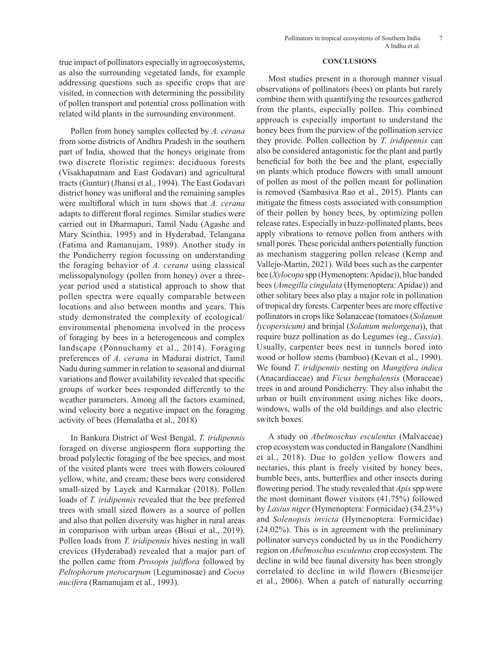Pollen from honey samples collected by *A. cerana*  from some districts of Andhra Pradesh in the southern part of India, showed that the honeys originate from two discrete floristic regimes: deciduous forests (Visakhapatnam and East Godavari) and agricultural tracts (Guntur) (Jhansi et al., 1994). The East Godavari district honey was unifloral and the remaining samples were multifloral which in turn shows that *A. cerana* adapts to different floral regimes. Similar studies were carried out in Dharmapuri, Tamil Nadu (Agashe and Mary Scinthia, 1995) and in Hyderabad, Telangana (Fatima and Ramanujam, 1989). Another study in the Pondicherry region focussing on understanding the foraging behavior of *A. cerana* using classical melissopalynology (pollen from honey) over a threeyear period used a statistical approach to show that pollen spectra were equally comparable between locations and also between months and years. This study demonstrated the complexity of ecological/ environmental phenomena involved in the process of foraging by bees in a heterogeneous and complex landscape (Ponnuchamy et al., 2014). Foraging preferences of *A. cerana* in Madurai district, Tamil Nadu during summer in relation to seasonal and diurnal variations and flower availability revealed that specific groups of worker bees responded differently to the weather parameters. Among all the factors examined, wind velocity bore a negative impact on the foraging activity of bees (Hemalatha et al., 2018)

In Bankura District of West Bengal, *T. iridipennis*  foraged on diverse angiosperm flora supporting the broad polylectic foraging of the bee species, and most of the visited plants were trees with flowers coloured yellow, white, and cream; these bees were considered small-sized by Layek and Karmakar (2018). Pollen loads of *T. iridipennis* revealed that the bee preferred trees with small sized flowers as a source of pollen and also that pollen diversity was higher in rural areas in comparison with urban areas (Bisui et al., 2019). Pollen loads from *T. iridipennis* hives nesting in wall crevices (Hyderabad) revealed that a major part of the pollen came from *Prosopis juliflora* followed by *Peltophorum pterocarpum* (Leguminosae) and *Cocos nucifer*a (Ramanujam et al., 1993).

#### **CONCLUSIONS**

Most studies present in a thorough manner visual observations of pollinators (bees) on plants but rarely combine them with quantifying the resources gathered from the plants, especially pollen. This combined approach is especially important to understand the honey bees from the purview of the pollination service they provide. Pollen collection by *T. iridipennis* can also be considered antagonistic for the plant and partly beneficial for both the bee and the plant, especially on plants which produce flowers with small amount of pollen as most of the pollen meant for pollination is removed (Sambasiva Rao et al., 2015). Plants can mitigate the fitness costs associated with consumption of their pollen by honey bees, by optimizing pollen release rates. Especially in buzz-pollinated plants, bees apply vibrations to remove pollen from anthers with small pores. These poricidal anthers potentially function as mechanism staggering pollen release (Kemp and Vallejo-Martin, 2021). Wild bees such as the carpenter bee (*Xylocopa* spp (Hymenoptera: Apidae)), blue banded bees (*Amegilla cingulata* (Hymenoptera: Apidae)) and other solitary bees also play a major role in pollination of tropical dry forests. Carpenter bees are more effective pollinators in crops like Solanaceae (tomatoes (*Solanum lycopersicum)* and brinjal (*Solanum melongena*)), that require buzz pollination as do Legumes (eg., *Cassia*). Usually, carpenter bees nest in tunnels bored into wood or hollow stems (bamboo) (Kevan et al., 1990). We found *T. iridipennis* nesting on *Mangifera indica* (Anacardiaceae) and *Ficus benghalensis* (Moraceae) trees in and around Pondicherry. They also inhabit the urban or built environment using niches like doors, windows, walls of the old buildings and also electric switch boxes.

A study on *Abelmoschus esculentus* (Malvaceae) crop ecosystem was conducted in Bangalore (Nandhini et al., 2018). Due to golden yellow flowers and nectaries, this plant is freely visited by honey bees, bumble bees, ants, butterflies and other insects during flowering period. The study revealed that *Apis* spp were the most dominant flower visitors (41.75%) followed by *Lasius niger* (Hymenoptera: Formicidae) (34.23%) and *Solenopsis invicta* (Hymenoptera: Formicidae) (24.02%). This is in agreement with the preliminary pollinator surveys conducted by us in the Pondicherry region on *Abelmoschus esculentus* crop ecosystem. The decline in wild bee faunal diversity has been strongly correlated to decline in wild flowers (Biesmeijer et al., 2006). When a patch of naturally occurring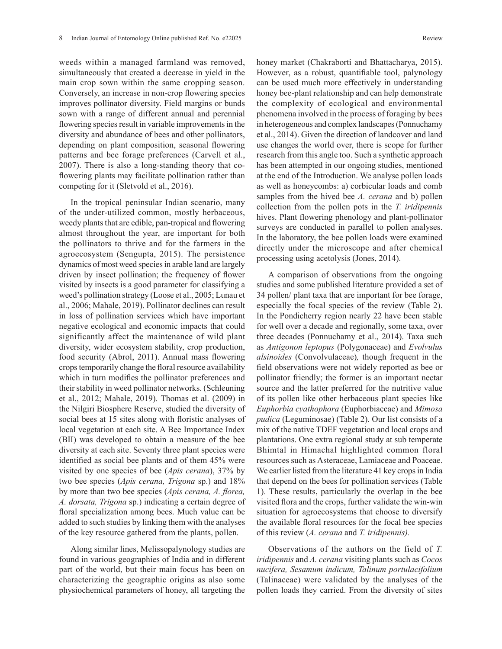weeds within a managed farmland was removed, simultaneously that created a decrease in yield in the main crop sown within the same cropping season. Conversely, an increase in non-crop flowering species improves pollinator diversity. Field margins or bunds sown with a range of different annual and perennial flowering species result in variable improvements in the diversity and abundance of bees and other pollinators, depending on plant composition, seasonal flowering patterns and bee forage preferences (Carvell et al., 2007). There is also a long-standing theory that coflowering plants may facilitate pollination rather than competing for it (Sletvold et al., 2016).

In the tropical peninsular Indian scenario, many of the under-utilized common, mostly herbaceous, weedy plants that are edible, pan-tropical and flowering almost throughout the year, are important for both the pollinators to thrive and for the farmers in the agroecosystem (Sengupta, 2015). The persistence dynamics of most weed species in arable land are largely driven by insect pollination; the frequency of flower visited by insects is a good parameter for classifying a weed's pollination strategy (Loose et al., 2005; Lunau et al., 2006; Mahale, 2019). Pollinator declines can result in loss of pollination services which have important negative ecological and economic impacts that could significantly affect the maintenance of wild plant diversity, wider ecosystem stability, crop production, food security (Abrol, 2011). Annual mass flowering crops temporarily change the floral resource availability which in turn modifies the pollinator preferences and their stability in weed pollinator networks. (Schleuning et al., 2012; Mahale, 2019). Thomas et al. (2009) in the Nilgiri Biosphere Reserve, studied the diversity of social bees at 15 sites along with floristic analyses of local vegetation at each site. A Bee Importance Index (BII) was developed to obtain a measure of the bee diversity at each site. Seventy three plant species were identified as social bee plants and of them 45% were visited by one species of bee (*Apis cerana*), 37% by two bee species (*Apis cerana, Trigona* sp.) and 18% by more than two bee species (*Apis cerana, A. florea, A. dorsata, Trigona* sp.) indicating a certain degree of floral specialization among bees. Much value can be added to such studies by linking them with the analyses of the key resource gathered from the plants, pollen.

Along similar lines, Melissopalynology studies are found in various geographies of India and in different part of the world, but their main focus has been on characterizing the geographic origins as also some physiochemical parameters of honey, all targeting the honey market (Chakraborti and Bhattacharya, 2015). However, as a robust, quantifiable tool, palynology can be used much more effectively in understanding honey bee-plant relationship and can help demonstrate the complexity of ecological and environmental phenomena involved in the process of foraging by bees in heterogeneous and complex landscapes (Ponnuchamy et al., 2014). Given the direction of landcover and land use changes the world over, there is scope for further research from this angle too. Such a synthetic approach has been attempted in our ongoing studies, mentioned at the end of the Introduction. We analyse pollen loads as well as honeycombs: a) corbicular loads and comb samples from the hived bee *A. cerana* and b) pollen collection from the pollen pots in the *T. iridipennis* hives. Plant flowering phenology and plant-pollinator surveys are conducted in parallel to pollen analyses. In the laboratory, the bee pollen loads were examined directly under the microscope and after chemical processing using acetolysis (Jones, 2014).

A comparison of observations from the ongoing studies and some published literature provided a set of 34 pollen/ plant taxa that are important for bee forage, especially the focal species of the review (Table 2). In the Pondicherry region nearly 22 have been stable for well over a decade and regionally, some taxa, over three decades (Ponnuchamy et al., 2014). Taxa such as *Antigonon leptopus* (Polygonaceae) and *Evolvulus alsinoides* (Convolvulaceae)*,* though frequent in the field observations were not widely reported as bee or pollinator friendly; the former is an important nectar source and the latter preferred for the nutritive value of its pollen like other herbaceous plant species like *Euphorbia cyathophora* (Euphorbiaceae) and *Mimosa pudica* (Leguminosae) (Table 2). Our list consists of a mix of the native TDEF vegetation and local crops and plantations. One extra regional study at sub temperate Bhimtal in Himachal highlighted common floral resources such as Asteraceae, Lamiaceae and Poaceae. We earlier listed from the literature 41 key crops in India that depend on the bees for pollination services (Table 1). These results, particularly the overlap in the bee visited flora and the crops, further validate the win-win situation for agroecosystems that choose to diversify the available floral resources for the focal bee species of this review (*A. cerana* and *T. iridipennis).* 

Observations of the authors on the field of *T. iridipennis* and *A. cerana* visiting plants such as *Cocos nucifera, Sesamum indicum, Talinum portulacifolium*  (Talinaceae) were validated by the analyses of the pollen loads they carried. From the diversity of sites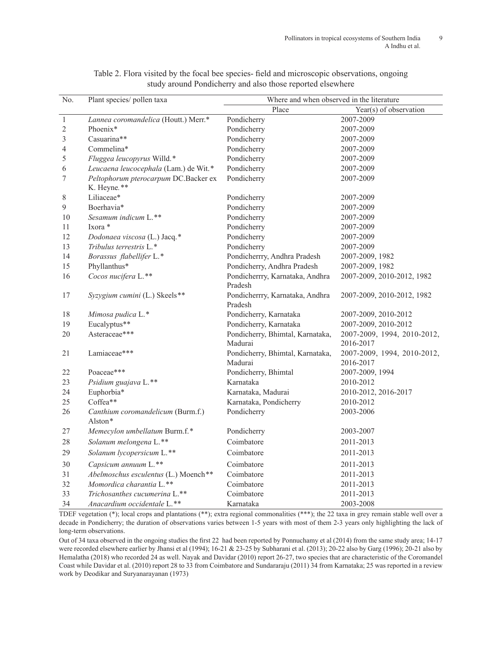| No.              | Plant species/ pollen taxa            | Where and when observed in the literature |                             |
|------------------|---------------------------------------|-------------------------------------------|-----------------------------|
|                  |                                       | Place                                     | Year(s) of observation      |
| $\overline{1}$   | Lannea coromandelica (Houtt.) Merr.*  | Pondicherry                               | 2007-2009                   |
| $\sqrt{2}$       | Phoenix*                              | Pondicherry                               | 2007-2009                   |
| $\overline{3}$   | Casuarina**                           | Pondicherry                               | 2007-2009                   |
| $\overline{4}$   | Commelina*                            | Pondicherry                               | 2007-2009                   |
| 5                | Fluggea leucopyrus Willd.*            | Pondicherry                               | 2007-2009                   |
| 6                | Leucaena leucocephala (Lam.) de Wit.* | Pondicherry                               | 2007-2009                   |
| $\boldsymbol{7}$ | Peltophorum pterocarpum DC.Backer ex  | Pondicherry                               | 2007-2009                   |
|                  | K. Heyne.**                           |                                           |                             |
| $8\,$            | Liliaceae*                            | Pondicherry                               | 2007-2009                   |
| 9                | Boerhavia*                            | Pondicherry                               | 2007-2009                   |
| 10               | Sesamum indicum L.**                  | Pondicherry                               | 2007-2009                   |
| 11               | Ixora *                               | Pondicherry                               | 2007-2009                   |
| 12               | Dodonaea viscosa (L.) Jacq.*          | Pondicherry                               | 2007-2009                   |
| 13               | Tribulus terrestris L.*               | Pondicherry                               | 2007-2009                   |
| 14               | Borassus flabellifer L.*              | Pondicherrry, Andhra Pradesh              | 2007-2009, 1982             |
| 15               | Phyllanthus*                          | Pondicherry, Andhra Pradesh               | 2007-2009, 1982             |
| 16               | Cocos nucifera L.**                   | Pondicherrry, Karnataka, Andhra           | 2007-2009, 2010-2012, 1982  |
|                  |                                       | Pradesh                                   |                             |
| 17               | Syzygium cumini (L.) Skeels**         | Pondicherrry, Karnataka, Andhra           | 2007-2009, 2010-2012, 1982  |
|                  |                                       | Pradesh                                   |                             |
| 18               | Mimosa pudica L.*                     | Pondicherry, Karnataka                    | 2007-2009, 2010-2012        |
| 19               | Eucalyptus**                          | Pondicherry, Karnataka                    | 2007-2009, 2010-2012        |
| 20               | Asteraceae***                         | Pondicherry, Bhimtal, Karnataka,          | 2007-2009, 1994, 2010-2012, |
|                  |                                       | Madurai                                   | 2016-2017                   |
| 21               | Lamiaceae***                          | Pondicherry, Bhimtal, Karnataka,          | 2007-2009, 1994, 2010-2012, |
|                  |                                       | Madurai                                   | 2016-2017                   |
| 22               | Poaceae***                            | Pondicherry, Bhimtal                      | 2007-2009, 1994             |
| 23               | Psidium guajava L.**                  | Karnataka                                 | 2010-2012                   |
| 24               | Euphorbia*                            | Karnataka, Madurai                        | 2010-2012, 2016-2017        |
| 25               | Coffea**                              | Karnataka, Pondicherry                    | 2010-2012                   |
| 26               | Canthium coromandelicum (Burm.f.)     | Pondicherry                               | 2003-2006                   |
|                  | Alston*                               |                                           |                             |
| 27               | Memecylon umbellatum Burm.f.*         | Pondicherry                               | 2003-2007                   |
| 28               | Solanum melongena L.**                | Coimbatore                                | 2011-2013                   |
| 29               | Solanum lycopersicum L.**             | Coimbatore                                | 2011-2013                   |
| 30               | Capsicum annuum L.**                  | Coimbatore                                | 2011-2013                   |
| 31               | Abelmoschus esculentus (L.) Moench**  | Coimbatore                                | 2011-2013                   |
| 32               | Momordica charantia L.**              | Coimbatore                                | 2011-2013                   |
| 33               | Trichosanthes cucumerina L.**         | Coimbatore                                | 2011-2013                   |
| 34               | Anacardium occidentale L.**           | Karnataka                                 | 2003-2008                   |

Table 2. Flora visited by the focal bee species- field and microscopic observations, ongoing study around Pondicherry and also those reported elsewhere

TDEF vegetation (\*); local crops and plantations (\*\*); extra regional commonalities (\*\*\*); the 22 taxa in grey remain stable well over a decade in Pondicherry; the duration of observations varies between 1-5 years with most of them 2-3 years only highlighting the lack of long-term observations.

Out of 34 taxa observed in the ongoing studies the first 22 had been reported by Ponnuchamy et al (2014) from the same study area; 14-17 were recorded elsewhere earlier by Jhansi et al (1994); 16-21 & 23-25 by Subharani et al. (2013); 20-22 also by Garg (1996); 20-21 also by Hemalatha (2018) who recorded 24 as well. Nayak and Davidar (2010) report 26-27, two species that are characteristic of the Coromandel Coast while Davidar et al. (2010) report 28 to 33 from Coimbatore and Sundararaju (2011) 34 from Karnataka; 25 was reported in a review work by Deodikar and Suryanarayanan (1973)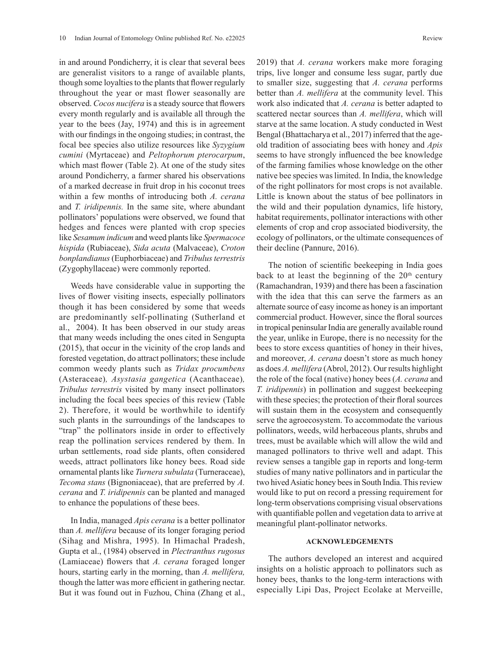in and around Pondicherry, it is clear that several bees are generalist visitors to a range of available plants, though some loyalties to the plants that flower regularly throughout the year or mast flower seasonally are observed. *Cocos nucifera* is a steady source that flowers every month regularly and is available all through the year to the bees (Jay, 1974) and this is in agreement with our findings in the ongoing studies; in contrast, the focal bee species also utilize resources like *Syzygium cumini* (Myrtaceae) and *Peltophorum pterocarpum*, which mast flower (Table 2). At one of the study sites around Pondicherry, a farmer shared his observations of a marked decrease in fruit drop in his coconut trees within a few months of introducing both *A. cerana* and *T. iridipennis.* In the same site, where abundant pollinators' populations were observed, we found that hedges and fences were planted with crop species like *Sesamum indicum* and weed plants like *Spermacoce hispida* (Rubiaceae), *Sida acuta* (Malvaceae), *Croton bonplandianus*(Euphorbiaceae) and *Tribulus terrestris* (Zygophyllaceae) were commonly reported.

Weeds have considerable value in supporting the lives of flower visiting insects, especially pollinators though it has been considered by some that weeds are predominantly self-pollinating (Sutherland et al., 2004). It has been observed in our study areas that many weeds including the ones cited in Sengupta (2015), that occur in the vicinity of the crop lands and forested vegetation, do attract pollinators; these include common weedy plants such as *Tridax procumbens*  (Asteraceae)*, Asystasia gangetica* (Acanthaceae)*, Tribulus terrestris* visited by many insect pollinators including the focal bees species of this review (Table 2). Therefore, it would be worthwhile to identify such plants in the surroundings of the landscapes to "trap" the pollinators inside in order to effectively reap the pollination services rendered by them. In urban settlements, road side plants, often considered weeds, attract pollinators like honey bees. Road side ornamental plants like *Turnera subulata* (Turneraceae), *Tecoma stans* (Bignoniaceae), that are preferred by *A. cerana* and *T. iridipennis* can be planted and managed to enhance the populations of these bees.

In India, managed *Apis cerana* is a better pollinator than *A. mellifera* because of its longer foraging period (Sihag and Mishra, 1995). In Himachal Pradesh, Gupta et al., (1984) observed in *Plectranthus rugosus*  (Lamiaceae) flowers that *A. cerana* foraged longer hours, starting early in the morning, than *A. mellifera,*  though the latter was more efficient in gathering nectar. But it was found out in Fuzhou, China (Zhang et al., 2019) that *A. cerana* workers make more foraging trips, live longer and consume less sugar, partly due to smaller size, suggesting that *A. cerana* performs better than *A. mellifera* at the community level. This work also indicated that *A. cerana* is better adapted to scattered nectar sources than *A. mellifera*, which will starve at the same location. A study conducted in West Bengal (Bhattacharya et al., 2017) inferred that the ageold tradition of associating bees with honey and *Apis*  seems to have strongly influenced the bee knowledge of the farming families whose knowledge on the other native bee species was limited. In India, the knowledge of the right pollinators for most crops is not available. Little is known about the status of bee pollinators in the wild and their population dynamics, life history, habitat requirements, pollinator interactions with other elements of crop and crop associated biodiversity, the ecology of pollinators, or the ultimate consequences of their decline (Pannure, 2016).

The notion of scientific beekeeping in India goes back to at least the beginning of the  $20<sup>th</sup>$  century (Ramachandran, 1939) and there has been a fascination with the idea that this can serve the farmers as an alternate source of easy income as honey is an important commercial product. However, since the floral sources in tropical peninsular India are generally available round the year, unlike in Europe, there is no necessity for the bees to store excess quantities of honey in their hives, and moreover, *A. cerana* doesn't store as much honey as does *A. mellifera* (Abrol, 2012). Our results highlight the role of the focal (native) honey bees (*A. cerana* and *T. iridipennis*) in pollination and suggest beekeeping with these species; the protection of their floral sources will sustain them in the ecosystem and consequently serve the agroecosystem. To accommodate the various pollinators, weeds, wild herbaceous plants, shrubs and trees, must be available which will allow the wild and managed pollinators to thrive well and adapt. This review senses a tangible gap in reports and long-term studies of many native pollinators and in particular the two hived Asiatic honey bees in South India. This review would like to put on record a pressing requirement for long-term observations comprising visual observations with quantifiable pollen and vegetation data to arrive at meaningful plant-pollinator networks.

### **ACKNOWLEDGEMENTS**

The authors developed an interest and acquired insights on a holistic approach to pollinators such as honey bees, thanks to the long-term interactions with especially Lipi Das, Project Ecolake at Merveille,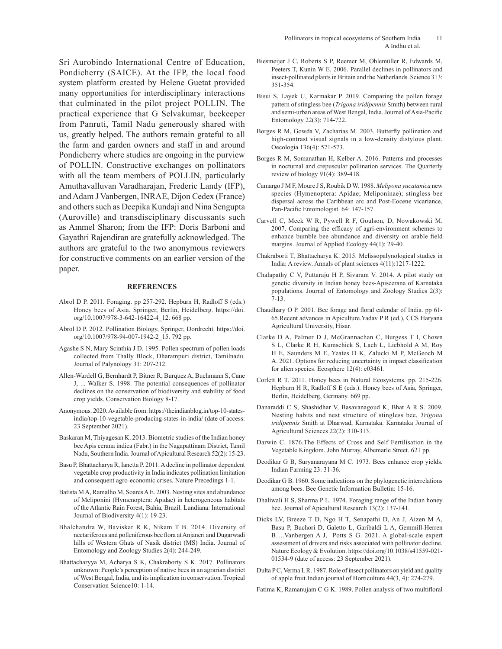Sri Aurobindo International Centre of Education, Pondicherry (SAICE). At the IFP, the local food system platform created by Helene Guetat provided many opportunities for interdisciplinary interactions that culminated in the pilot project POLLIN. The practical experience that G Selvakumar, beekeeper from Panruti, Tamil Nadu generously shared with us, greatly helped. The authors remain grateful to all the farm and garden owners and staff in and around Pondicherry where studies are ongoing in the purview of POLLIN. Constructive exchanges on pollinators with all the team members of POLLIN, particularly Amuthavalluvan Varadharajan, Frederic Landy (IFP), and Adam J Vanbergen, INRAE, Dijon Cedex (France) and others such as Deepika Kundaji and Nina Sengupta (Auroville) and transdisciplinary discussants such as Ammel Sharon; from the IFP: Doris Barboni and Gayathri Rajendiran are gratefully acknowledged. The authors are grateful to the two anonymous reviewers for constructive comments on an earlier version of the paper.

#### **REFERENCES**

- Abrol D P. 2011. Foraging. pp 257-292. Hepburn H, Radloff S (eds.) Honey bees of Asia. Springer, Berlin, Heidelberg. https://doi. org/10.1007/978-3-642-16422-4\_12. 668 pp.
- Abrol D P. 2012. Pollination Biology, Springer, Dordrecht. https://doi. org/10.1007/978-94-007-1942-2\_15. 792 pp.
- Agashe S N, Mary Scinthia J D. 1995. Pollen spectrum of pollen loads collected from Thally Block, Dharampuri district, Tamilnadu. Journal of Palynology 31: 207-212.
- Allen-Wardell G, Bernhardt P, Bitner R, Burquez A, Buchmann S, Cane J, ... Walker S. 1998. The potential consequences of pollinator declines on the conservation of biodiversity and stability of food crop yields. Conservation Biology 8-17.
- Anonymous. 2020. Available from: https://theindianblog.in/top-10-statesindia/top-10-vegetable-producing-states-in-india/ (date of access: 23 September 2021).
- Baskaran M, Thiyagesan K. 2013. Biometric studies of the Indian honey bee Apis cerana indica (Fabr.) in the Nagapattinam District, Tamil Nadu, Southern India.Journal of Apicultural Research 52(2): 15-23.
- Basu P, Bhattacharya R, Ianetta P. 2011. A decline in pollinator dependent vegetable crop productivity in India indicates pollination limitation and consequent agro-economic crises. Nature Precedings 1-1.
- Batista M A, Ramalho M, Soares A E. 2003. Nesting sites and abundance of Meliponini (Hymenoptera: Apidae) in heterogeneous habitats of the Atlantic Rain Forest, Bahia, Brazil. Lundiana: International Journal of Biodiversity 4(1): 19-23.
- Bhalchandra W, Baviskar R K, Nikam T B. 2014. Diversity of nectariferous and polleniferous bee flora at Anjaneri and Dugarwadi hills of Western Ghats of Nasik district (MS) India. Journal of Entomology and Zoology Studies 2(4): 244-249.
- Bhattacharyya M, Acharya S K, Chakraborty S K. 2017. Pollinators unknown: People's perception of native bees in an agrarian district of West Bengal, India, and its implication in conservation. Tropical Conservation Science10: 1-14.
- Biesmeijer J C, Roberts S P, Reemer M, Ohlemüller R, Edwards M, Peeters T, Kunin W E. 2006. Parallel declines in pollinators and insect-pollinated plants in Britain and the Netherlands. Science 313: 351-354.
- Bisui S, Layek U, Karmakar P. 2019. Comparing the pollen forage pattern of stingless bee (*Trigona iridipennis* Smith) between rural and semi-urban areas of West Bengal, India.Journal of Asia-Pacific Entomology 22(3): 714-722.
- Borges R M, Gowda V, Zacharias M. 2003. Butterfly pollination and high-contrast visual signals in a low-density distylous plant. Oecologia 136(4): 571-573.
- Borges R M, Somanathan H, Kelber A. 2016. Patterns and processes in nocturnal and crepuscular pollination services. The Quarterly review of biology 91(4): 389-418.
- Camargo J M F, Moure J S, Roubik D W. 1988. *Melipona yucatanica* new species (Hymenoptera: Apidae; Meliponinae); stingless bee dispersal across the Caribbean arc and Post-Eocene vicariance, Pan-Pacific Entomologist. 64: 147-157.
- Carvell C, Meek W R, Pywell R F, Goulson, D, Nowakowski M. 2007. Comparing the efficacy of agri-environment schemes to enhance bumble bee abundance and diversity on arable field margins. Journal of Applied Ecology 44(1): 29-40.
- Chakraborti T, Bhattacharya K. 2015. Melissopalynological studies in India: A review. Annals of plant sciences 4(11):1217-1222.
- Chalapathy C V, Puttaraju H P, Sivaram V. 2014. A pilot study on genetic diversity in Indian honey bees-Apiscerana of Karnataka populations. Journal of Entomology and Zoology Studies 2(3): 7-13.
- Chaudhary O P. 2001. Bee forage and floral calendar of India. pp 61- 65.Recent advances in Apiculture.Yadav P R (ed.), CCS Haryana Agricultural University, Hisar.
- Clarke D A, Palmer D J, McGrannachan C, Burgess T I, Chown S L, Clarke R H, Kumschick S, Lach L, Liebhold A M, Roy H E, Saunders M E, Yeates D K, Zalucki M P, McGeoch M A. 2021. Options for reducing uncertainty in impact classification for alien species. Ecosphere 12(4): e03461.
- Corlett R T. 2011. Honey bees in Natural Ecosystems. pp. 215-226. Hepburn H R, Radloff S E (eds.). Honey bees of Asia, Springer, Berlin, Heidelberg, Germany. 669 pp.
- Danaraddi C S, Shashidhar V, Basavanagoud K, Bhat A R S. 2009. Nesting habits and nest structure of stingless bee, *Trigona iridipennis* Smith at Dharwad, Karnataka. Karnataka Journal of Agricultural Sciences 22(2): 310-313.
- Darwin C. 1876.The Effects of Cross and Self Fertilisation in the Vegetable Kingdom. John Murray, Albemarle Street. 621 pp.
- Deodikar G B, Suryanarayana M C. 1973. Bees enhance crop yields. Indian Farming 23: 31-36.
- Deodikar G B. 1960. Some indications on the phylogenetic interrelations among bees. Bee Genetic Information Bulletin: 15-16.
- Dhaliwali H S, Sharma P L. 1974. Foraging range of the Indian honey bee. Journal of Apicultural Research 13(2): 137-141.
- Dicks LV, Breeze T D, Ngo H T, Senapathi D, An J, Aizen M A, Basu P, Buchori D, Galetto L, Garibaldi L A, Gemmill-Herren B….Vanbergen A J, Potts S G. 2021. A global-scale expert assessment of drivers and risks associated with pollinator decline. Nature Ecology & Evolution. https://doi.org/10.1038/s41559-021- 01534-9 (date of access: 23 September 2021).
- Dulta P C, Verma L R. 1987. Role of insect pollinators on yield and quality of apple fruit.Indian journal of Horticulture 44(3, 4): 274-279.
- Fatima K, Ramanujam C G K. 1989. Pollen analysis of two multifloral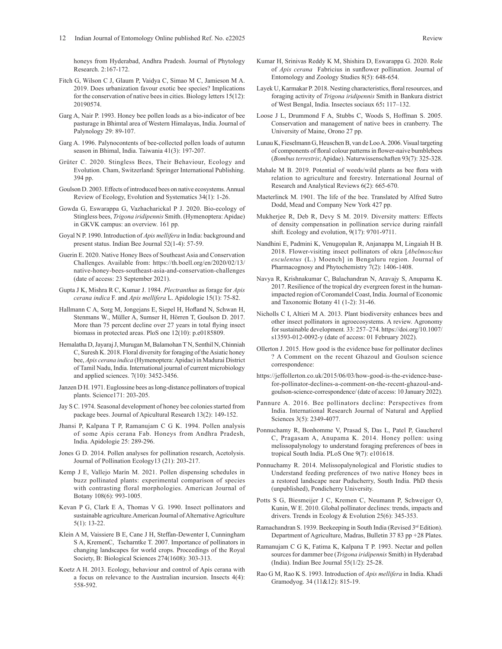- Fitch G, Wilson C J, Glaum P, Vaidya C, Simao M C, Jamieson M A. 2019. Does urbanization favour exotic bee species? Implications for the conservation of native bees in cities. Biology letters 15(12): 20190574.
- Garg A, Nair P. 1993. Honey bee pollen loads as a bio-indicator of bee pasturage in Bhimtal area of Western Himalayas, India. Journal of Palynology 29: 89-107.
- Garg A. 1996. Palynocontents of bee-collected pollen loads of autumn season in Bhimal, India. Taiwania 41(3): 197-207.
- Grüter C. 2020. Stingless Bees, Their Behaviour, Ecology and Evolution. Cham, Switzerland: Springer International Publishing. 394 pp.
- Goulson D. 2003. Effects of introduced bees on native ecosystems.Annual Review of Ecology, Evolution and Systematics 34(1): 1-26.
- Gowda G, Eswarappa G, Vazhacharickal P J. 2020. Bio-ecology of Stingless bees, *Trigona iridipennis* Smith. (Hymenoptera: Apidae) in GKVK campus: an overview. 161 pp.
- Goyal N P. 1990. Introduction of *Apis mellifera* in India: background and present status. Indian Bee Journal 52(1-4): 57-59.
- Guerin E. 2020. Native Honey Bees of Southeast Asia and Conservation Challenges. Available from: https://th.boell.org/en/2020/02/13/ native-honey-bees-southeast-asia-and-conservation-challenges (date of access: 23 September 2021).
- Gupta J K, Mishra R C, Kumar J. 1984. *Plectranthus* as forage for *Apis cerana indica* F. and *Apis mellifera* L. Apidologie 15(1): 75-82.
- Hallmann C A, Sorg M, Jongejans E, Siepel H, Hofland N, Schwan H, Stenmans W., Müller A, Sumser H, Hörren T, Goulson D. 2017. More than 75 percent decline over 27 years in total flying insect biomass in protected areas. PloS one 12(10): p.e0185809.
- Hemalatha D, Jayaraj J, Murugan M, Balamohan T N, Senthil N, Chinniah C, Suresh K. 2018. Floral diversity for foraging of the Asiatic honey bee, *Apis cerana indica* (Hymenoptera: Apidae) in Madurai District of Tamil Nadu, India. International journal of current microbiology and applied sciences. 7(10): 3452-3456.
- Janzen D H. 1971. Euglossine bees as long-distance pollinators of tropical plants. Science171: 203-205.
- Jay S C. 1974. Seasonal development of honey bee colonies started from package bees. Journal of Apicultural Research 13(2): 149-152.
- Jhansi P, Kalpana T P, Ramanujam C G K. 1994. Pollen analysis of some Apis cerana Fab. Honeys from Andhra Pradesh, India. Apidologie 25: 289-296.
- Jones G D. 2014. Pollen analyses for pollination research, Acetolysis. Journal of Pollination Ecology13 (21): 203-217.
- Kemp J E, Vallejo Marín M. 2021. Pollen dispensing schedules in buzz pollinated plants: experimental comparison of species with contrasting floral morphologies. American Journal of Botany 108(6): 993-1005.
- Kevan P G, Clark E A, Thomas V G. 1990. Insect pollinators and sustainable agriculture.American Journal of Alternative Agriculture 5(1): 13-22.
- Klein A M, Vaissiere B E, Cane J H, Steffan-Dewenter I, Cunningham S A, KremenC, Tscharntke T. 2007. Importance of pollinators in changing landscapes for world crops. Proceedings of the Royal Society, B: Biological Sciences 274(1608): 303-313.
- Koetz A H. 2013. Ecology, behaviour and control of Apis cerana with a focus on relevance to the Australian incursion. Insects 4(4): 558-592.
- Kumar H, Srinivas Reddy K M, Shishira D, Eswarappa G. 2020. Role of *Apis cerana* Fabricius in sunflower pollination. Journal of Entomology and Zoology Studies 8(5): 648-654.
- Layek U, Karmakar P. 2018. Nesting characteristics, floral resources, and foraging activity of *Trigona iridipennis* Smith in Bankura district of West Bengal, India. Insectes sociaux 65**:** 117–132.
- Loose J L, Drummond F A, Stubbs C, Woods S, Hoffman S. 2005. Conservation and management of native bees in cranberry. The University of Maine, Orono 27 pp.
- Lunau K, Fieselmann G, Heuschen B, van de Loo A. 2006. Visual targeting of components of floral colour patterns in flower-naive bumblebees (*Bombus terrestris*; Apidae). Naturwissenschaften 93(7): 325-328.
- Mahale M B. 2019. Potential of weeds/wild plants as bee flora with relation to agriculture and forestry. International Journal of Research and Analytical Reviews 6(2): 665-670.
- Maeterlinck M. 1901. The life of the bee. Translated by Alfred Sutro Dodd, Mead and Company New York 427 pp.
- Mukherjee R, Deb R, Devy S M. 2019. Diversity matters: Effects of density compensation in pollination service during rainfall shift. Ecology and evolution, 9(17): 9701-9711.
- Nandhini E, Padmini K, Venugopalan R, Anjanappa M, Lingaiah H B. 2018. Flower-visiting insect pollinators of okra [*Abelmoschus esculentus* (L.) Moench] in Bengaluru region. Journal of Pharmacognosy and Phytochemistry 7(2): 1406-1408.
- Navya R, Krishnakumar C, Balachandran N, Aravajy S, Anupama K. 2017. Resilience of the tropical dry evergreen forest in the humanimpacted region of Coromandel Coast, India. Journal of Economic and Taxonomic Botany 41 (1-2): 31-46.
- Nicholls C I, Altieri M A. 2013. Plant biodiversity enhances bees and other insect pollinators in agroecosystems. A review. Agronomy for sustainable development*.* 33: 257–274. https://doi.org/10.1007/ s13593-012-0092-y (date of access: 01 February 2022).
- Ollerton J. 2015. How good is the evidence base for pollinator declines ? A Comment on the recent Ghazoul and Goulson science correspondence:
- https://jeffollerton.co.uk/2015/06/03/how-good-is-the-evidence-basefor-pollinator-declines-a-comment-on-the-recent-ghazoul-andgoulson-science-correspondence/ (date of access: 10 January 2022).
- Pannure A. 2016. Bee pollinators decline: Perspectives from India. International Research Journal of Natural and Applied Sciences 3(5): 2349-4077.
- Ponnuchamy R, Bonhomme V, Prasad S, Das L, Patel P, Gaucherel C, Pragasam A, Anupama K. 2014. Honey pollen: using melissopalynology to understand foraging preferences of bees in tropical South India. PLoS One 9(7): e101618.
- Ponnuchamy R. 2014. Melissopalynological and Floristic studies to Understand feeding preferences of two native Honey bees in a restored landscape near Puducherry, South India. PhD thesis (unpublished), Pondicherry University.
- Potts S G, Biesmeijer J C, Kremen C, Neumann P, Schweiger O, Kunin, W E. 2010. Global pollinator declines: trends, impacts and drivers. Trends in Ecology & Evolution 25(6): 345-353.
- Ramachandran S. 1939. Beekeeping in South India (Revised 3rd Edition). Department of Agriculture, Madras, Bulletin 37 83 pp +28 Plates.
- Ramanujam C G K, Fatima K, Kalpana T P. 1993. Nectar and pollen sources for dammer bee (*Trigona iridipennis* Smith) in Hyderabad (India). Indian Bee Journal 55(1/2): 25-28.
- Rao G M, Rao K S. 1993. Introduction of *Apis mellifera* in India. Khadi Gramodyog. 34 (11&12): 815-19.